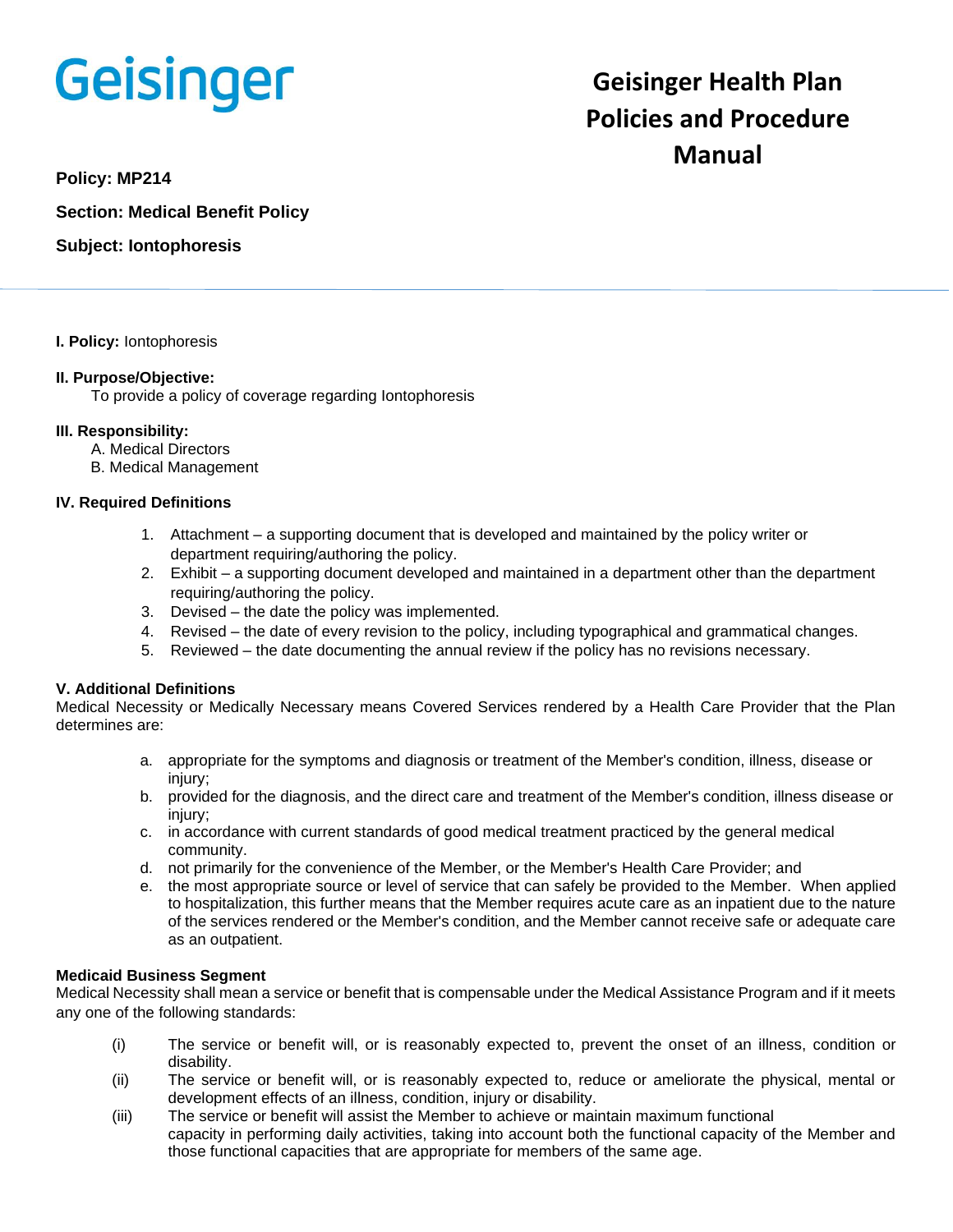# Geisinger

# **Geisinger Health Plan Policies and Procedure Manual**

**Policy: MP214**

**Section: Medical Benefit Policy**

**Subject: Iontophoresis**

#### **I. Policy:** Iontophoresis

## **II. Purpose/Objective:**

To provide a policy of coverage regarding Iontophoresis

#### **III. Responsibility:**

- A. Medical Directors
- B. Medical Management

## **IV. Required Definitions**

- 1. Attachment a supporting document that is developed and maintained by the policy writer or department requiring/authoring the policy.
- 2. Exhibit a supporting document developed and maintained in a department other than the department requiring/authoring the policy.
- 3. Devised the date the policy was implemented.
- 4. Revised the date of every revision to the policy, including typographical and grammatical changes.
- 5. Reviewed the date documenting the annual review if the policy has no revisions necessary.

## **V. Additional Definitions**

Medical Necessity or Medically Necessary means Covered Services rendered by a Health Care Provider that the Plan determines are:

- a. appropriate for the symptoms and diagnosis or treatment of the Member's condition, illness, disease or injury;
- b. provided for the diagnosis, and the direct care and treatment of the Member's condition, illness disease or injury;
- c. in accordance with current standards of good medical treatment practiced by the general medical community.
- d. not primarily for the convenience of the Member, or the Member's Health Care Provider; and
- e. the most appropriate source or level of service that can safely be provided to the Member. When applied to hospitalization, this further means that the Member requires acute care as an inpatient due to the nature of the services rendered or the Member's condition, and the Member cannot receive safe or adequate care as an outpatient.

#### **Medicaid Business Segment**

Medical Necessity shall mean a service or benefit that is compensable under the Medical Assistance Program and if it meets any one of the following standards:

- (i) The service or benefit will, or is reasonably expected to, prevent the onset of an illness, condition or disability.
- (ii) The service or benefit will, or is reasonably expected to, reduce or ameliorate the physical, mental or development effects of an illness, condition, injury or disability.
- (iii) The service or benefit will assist the Member to achieve or maintain maximum functional capacity in performing daily activities, taking into account both the functional capacity of the Member and those functional capacities that are appropriate for members of the same age.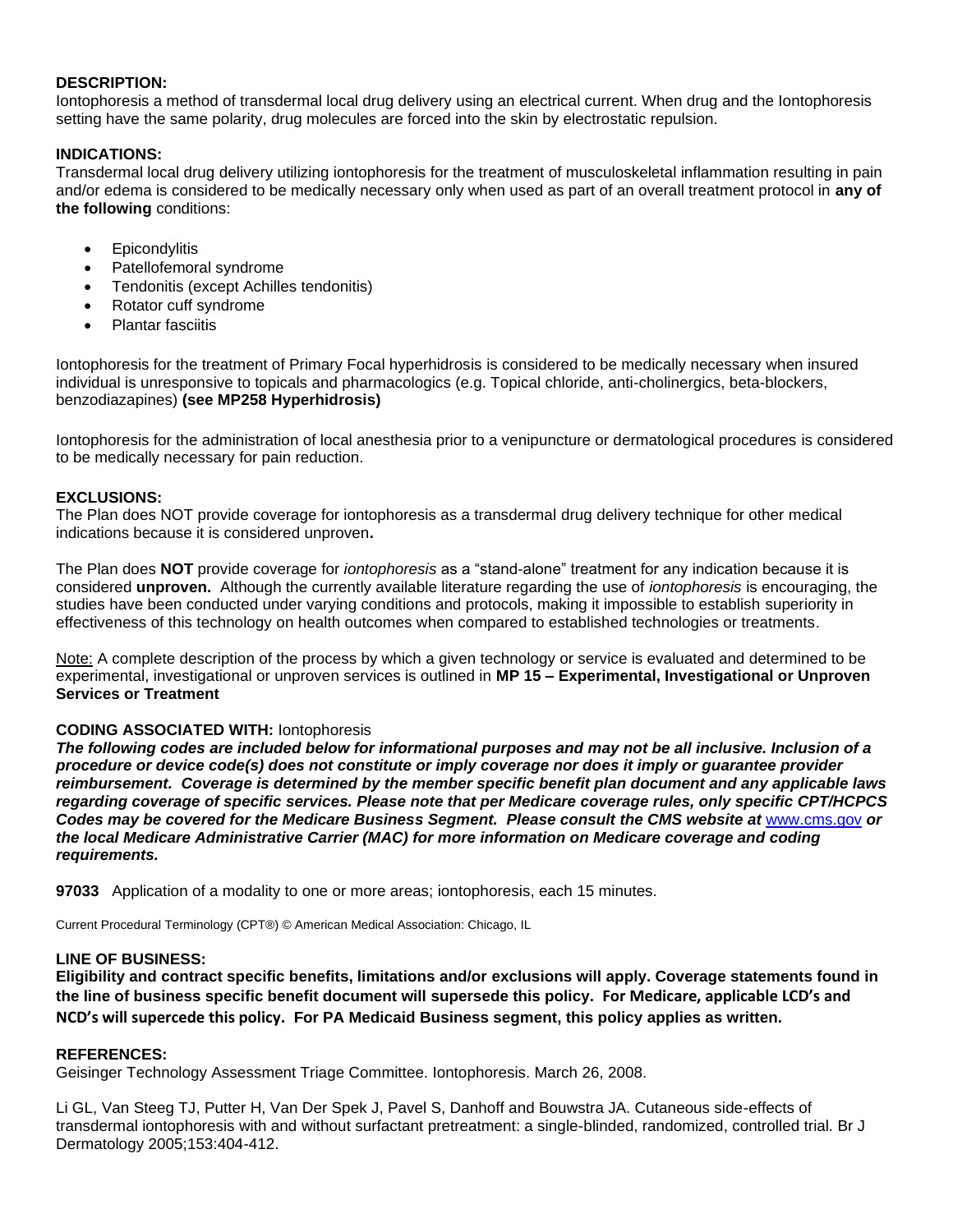#### **DESCRIPTION:**

Iontophoresis a method of transdermal local drug delivery using an electrical current. When drug and the Iontophoresis setting have the same polarity, drug molecules are forced into the skin by electrostatic repulsion.

## **INDICATIONS:**

Transdermal local drug delivery utilizing iontophoresis for the treatment of musculoskeletal inflammation resulting in pain and/or edema is considered to be medically necessary only when used as part of an overall treatment protocol in **any of the following** conditions:

- Epicondylitis
- Patellofemoral syndrome
- Tendonitis (except Achilles tendonitis)
- Rotator cuff syndrome
- Plantar fasciitis

Iontophoresis for the treatment of Primary Focal hyperhidrosis is considered to be medically necessary when insured individual is unresponsive to topicals and pharmacologics (e.g. Topical chloride, anti-cholinergics, beta-blockers, benzodiazapines) **(see MP258 Hyperhidrosis)** 

Iontophoresis for the administration of local anesthesia prior to a venipuncture or dermatological procedures is considered to be medically necessary for pain reduction.

## **EXCLUSIONS:**

The Plan does NOT provide coverage for iontophoresis as a transdermal drug delivery technique for other medical indications because it is considered unproven**.** 

The Plan does **NOT** provide coverage for *iontophoresis* as a "stand-alone" treatment for any indication because it is considered **unproven.** Although the currently available literature regarding the use of *iontophoresis* is encouraging, the studies have been conducted under varying conditions and protocols, making it impossible to establish superiority in effectiveness of this technology on health outcomes when compared to established technologies or treatments.

Note: A complete description of the process by which a given technology or service is evaluated and determined to be experimental, investigational or unproven services is outlined in **MP 15 – Experimental, Investigational or Unproven Services or Treatment**

## **CODING ASSOCIATED WITH:** Iontophoresis

*The following codes are included below for informational purposes and may not be all inclusive. Inclusion of a procedure or device code(s) does not constitute or imply coverage nor does it imply or guarantee provider reimbursement. Coverage is determined by the member specific benefit plan document and any applicable laws regarding coverage of specific services. Please note that per Medicare coverage rules, only specific CPT/HCPCS Codes may be covered for the Medicare Business Segment. Please consult the CMS website at* [www.cms.gov](http://www.cms.gov/) *or the local Medicare Administrative Carrier (MAC) for more information on Medicare coverage and coding requirements.*

**97033** Application of a modality to one or more areas; iontophoresis, each 15 minutes.

Current Procedural Terminology (CPT®) © American Medical Association: Chicago, IL

#### **LINE OF BUSINESS:**

**Eligibility and contract specific benefits, limitations and/or exclusions will apply. Coverage statements found in the line of business specific benefit document will supersede this policy. For Medicare, applicable LCD's and NCD's will supercede this policy. For PA Medicaid Business segment, this policy applies as written.**

#### **REFERENCES:**

Geisinger Technology Assessment Triage Committee. Iontophoresis. March 26, 2008.

Li GL, Van Steeg TJ, Putter H, Van Der Spek J, Pavel S, Danhoff and Bouwstra JA. Cutaneous side-effects of transdermal iontophoresis with and without surfactant pretreatment: a single-blinded, randomized, controlled trial. Br J Dermatology 2005;153:404-412.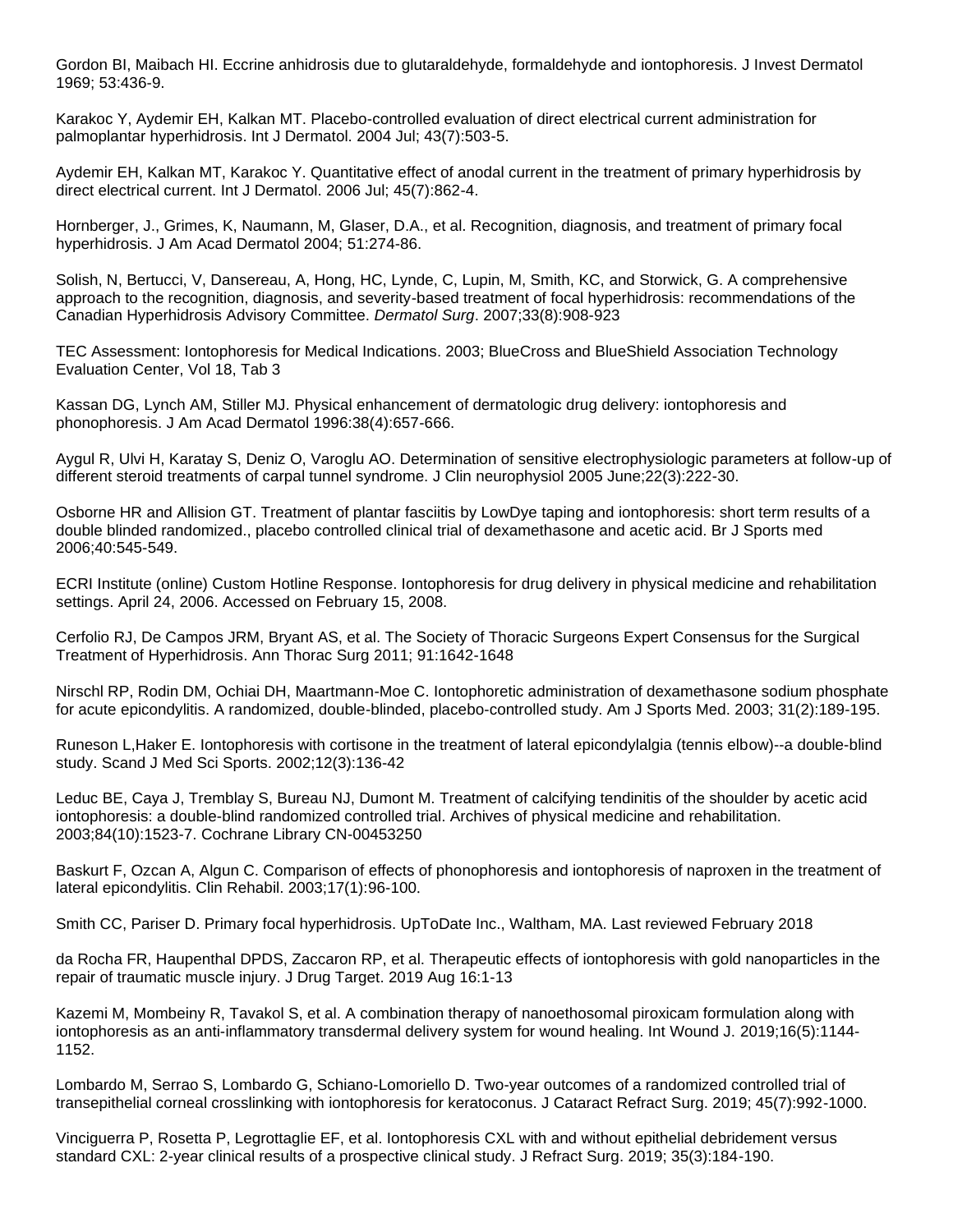Gordon BI, Maibach HI. Eccrine anhidrosis due to glutaraldehyde, formaldehyde and iontophoresis. J Invest Dermatol 1969; 53:436-9.

Karakoc Y, Aydemir EH, Kalkan MT. Placebo-controlled evaluation of direct electrical current administration for palmoplantar hyperhidrosis. Int J Dermatol. 2004 Jul; 43(7):503-5.

Aydemir EH, Kalkan MT, Karakoc Y. Quantitative effect of anodal current in the treatment of primary hyperhidrosis by direct electrical current. Int J Dermatol. 2006 Jul; 45(7):862-4.

Hornberger, J., Grimes, K, Naumann, M, Glaser, D.A., et al. Recognition, diagnosis, and treatment of primary focal hyperhidrosis. J Am Acad Dermatol 2004; 51:274-86.

Solish, N, Bertucci, V, Dansereau, A, Hong, HC, Lynde, C, Lupin, M, Smith, KC, and Storwick, G. A comprehensive approach to the recognition, diagnosis, and severity-based treatment of focal hyperhidrosis: recommendations of the Canadian Hyperhidrosis Advisory Committee. *Dermatol Surg*. 2007;33(8):908-923

TEC Assessment: Iontophoresis for Medical Indications. 2003; BlueCross and BlueShield Association Technology Evaluation Center, Vol 18, Tab 3

Kassan DG, Lynch AM, Stiller MJ. Physical enhancement of dermatologic drug delivery: iontophoresis and phonophoresis. J Am Acad Dermatol 1996:38(4):657-666.

Aygul R, Ulvi H, Karatay S, Deniz O, Varoglu AO. Determination of sensitive electrophysiologic parameters at follow-up of different steroid treatments of carpal tunnel syndrome. J Clin neurophysiol 2005 June;22(3):222-30.

Osborne HR and Allision GT. Treatment of plantar fasciitis by LowDye taping and iontophoresis: short term results of a double blinded randomized., placebo controlled clinical trial of dexamethasone and acetic acid. Br J Sports med 2006;40:545-549.

ECRI Institute (online) Custom Hotline Response. Iontophoresis for drug delivery in physical medicine and rehabilitation settings. April 24, 2006. Accessed on February 15, 2008.

Cerfolio RJ, De Campos JRM, Bryant AS, et al. The Society of Thoracic Surgeons Expert Consensus for the Surgical Treatment of Hyperhidrosis. Ann Thorac Surg 2011; 91:1642-1648

Nirschl RP, Rodin DM, Ochiai DH, Maartmann-Moe C. Iontophoretic administration of dexamethasone sodium phosphate for acute epicondylitis. A randomized, double-blinded, placebo-controlled study. Am J Sports Med. 2003; 31(2):189-195.

Runeson L,Haker E. Iontophoresis with cortisone in the treatment of lateral epicondylalgia (tennis elbow)--a double-blind study. Scand J Med Sci Sports. 2002;12(3):136-42

Leduc BE, Caya J, Tremblay S, Bureau NJ, Dumont M. Treatment of calcifying tendinitis of the shoulder by acetic acid iontophoresis: a double-blind randomized controlled trial. Archives of physical medicine and rehabilitation. 2003;84(10):1523-7. Cochrane Library CN-00453250

Baskurt F, Ozcan A, Algun C. Comparison of effects of phonophoresis and iontophoresis of naproxen in the treatment of lateral epicondylitis. Clin Rehabil. 2003;17(1):96-100.

Smith CC, Pariser D. Primary focal hyperhidrosis. UpToDate Inc., Waltham, MA. Last reviewed February 2018

da Rocha FR, Haupenthal DPDS, Zaccaron RP, et al. Therapeutic effects of iontophoresis with gold nanoparticles in the repair of traumatic muscle injury. J Drug Target. 2019 Aug 16:1-13

Kazemi M, Mombeiny R, Tavakol S, et al. A combination therapy of nanoethosomal piroxicam formulation along with iontophoresis as an anti-inflammatory transdermal delivery system for wound healing. Int Wound J. 2019;16(5):1144- 1152.

Lombardo M, Serrao S, Lombardo G, Schiano-Lomoriello D. Two-year outcomes of a randomized controlled trial of transepithelial corneal crosslinking with iontophoresis for keratoconus. J Cataract Refract Surg. 2019; 45(7):992-1000.

Vinciguerra P, Rosetta P, Legrottaglie EF, et al. Iontophoresis CXL with and without epithelial debridement versus standard CXL: 2-year clinical results of a prospective clinical study. J Refract Surg. 2019; 35(3):184-190.